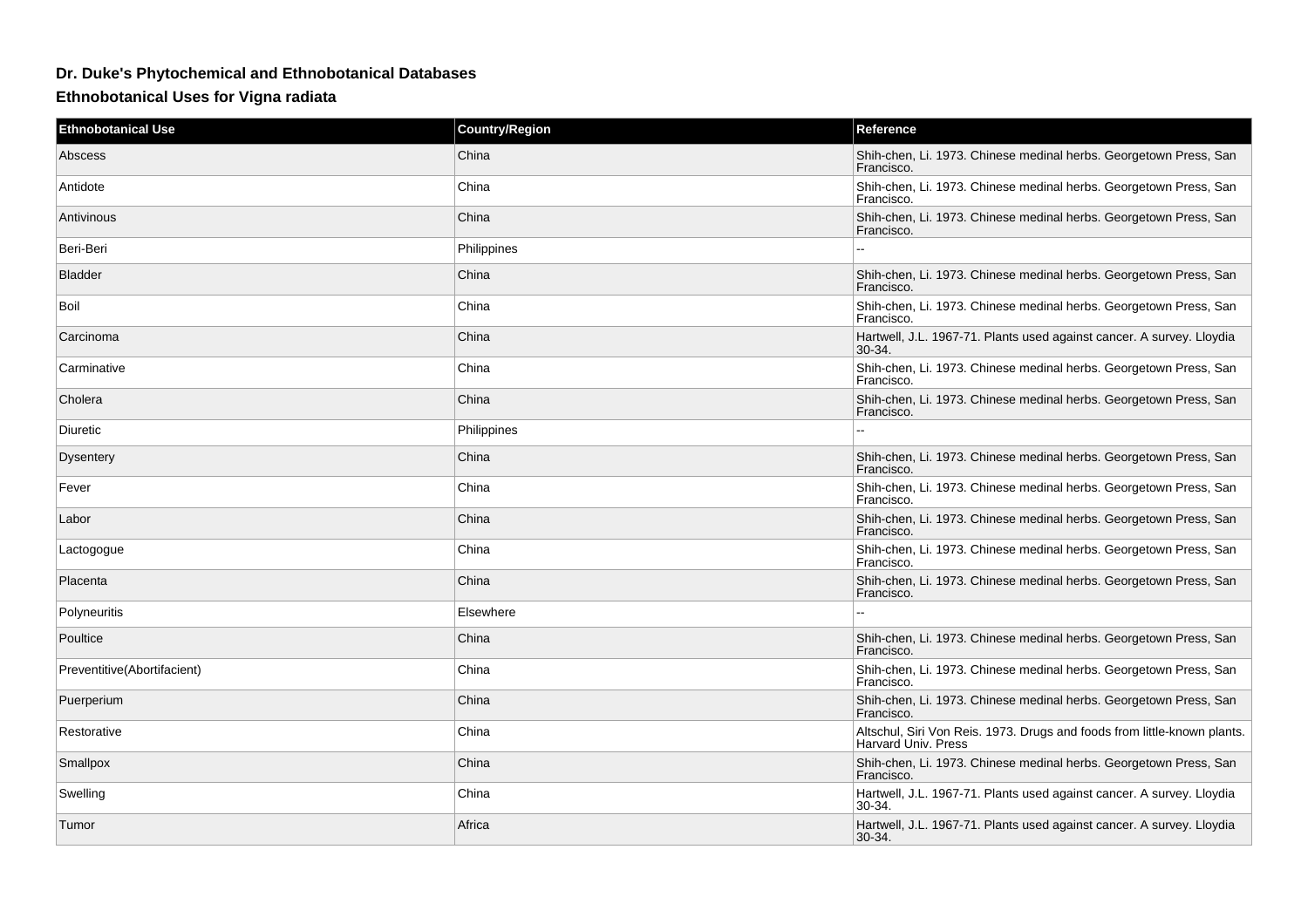## **Dr. Duke's Phytochemical and Ethnobotanical Databases**

**Ethnobotanical Uses for Vigna radiata**

| <b>Ethnobotanical Use</b>   | <b>Country/Region</b> | Reference                                                                                       |
|-----------------------------|-----------------------|-------------------------------------------------------------------------------------------------|
| Abscess                     | China                 | Shih-chen, Li. 1973. Chinese medinal herbs. Georgetown Press, San<br>Francisco.                 |
| Antidote                    | China                 | Shih-chen, Li. 1973. Chinese medinal herbs. Georgetown Press, San<br>Francisco.                 |
| Antivinous                  | China                 | Shih-chen, Li. 1973. Chinese medinal herbs. Georgetown Press, San<br>Francisco.                 |
| Beri-Beri                   | Philippines           |                                                                                                 |
| <b>Bladder</b>              | China                 | Shih-chen, Li. 1973. Chinese medinal herbs. Georgetown Press, San<br>Francisco.                 |
| Boil                        | China                 | Shih-chen, Li. 1973. Chinese medinal herbs. Georgetown Press, San<br>Francisco.                 |
| Carcinoma                   | China                 | Hartwell, J.L. 1967-71. Plants used against cancer. A survey. Lloydia<br>$30-34.$               |
| Carminative                 | China                 | Shih-chen, Li. 1973. Chinese medinal herbs. Georgetown Press, San<br>Francisco.                 |
| Cholera                     | China                 | Shih-chen, Li. 1973. Chinese medinal herbs. Georgetown Press, San<br>Francisco.                 |
| Diuretic                    | Philippines           |                                                                                                 |
| <b>Dysentery</b>            | China                 | Shih-chen, Li. 1973. Chinese medinal herbs. Georgetown Press, San<br>Francisco.                 |
| Fever                       | China                 | Shih-chen, Li. 1973. Chinese medinal herbs. Georgetown Press, San<br>Francisco.                 |
| Labor                       | China                 | Shih-chen, Li. 1973. Chinese medinal herbs. Georgetown Press, San<br>Francisco.                 |
| Lactogogue                  | China                 | Shih-chen, Li. 1973. Chinese medinal herbs. Georgetown Press, San<br>Francisco.                 |
| Placenta                    | China                 | Shih-chen, Li. 1973. Chinese medinal herbs. Georgetown Press, San<br>Francisco.                 |
| <b>Polyneuritis</b>         | Elsewhere             |                                                                                                 |
| Poultice                    | China                 | Shih-chen, Li. 1973. Chinese medinal herbs. Georgetown Press, San<br>Francisco.                 |
| Preventitive(Abortifacient) | China                 | Shih-chen, Li. 1973. Chinese medinal herbs. Georgetown Press, San<br>Francisco.                 |
| Puerperium                  | China                 | Shih-chen, Li. 1973. Chinese medinal herbs. Georgetown Press, San<br>Francisco.                 |
| Restorative                 | China                 | Altschul, Siri Von Reis. 1973. Drugs and foods from little-known plants.<br>Harvard Univ. Press |
| Smallpox                    | China                 | Shih-chen, Li. 1973. Chinese medinal herbs. Georgetown Press, San<br>Francisco.                 |
| Swelling                    | China                 | Hartwell, J.L. 1967-71. Plants used against cancer. A survey. Lloydia<br>30-34.                 |
| Tumor                       | Africa                | Hartwell, J.L. 1967-71. Plants used against cancer. A survey. Lloydia<br>$30-34.$               |